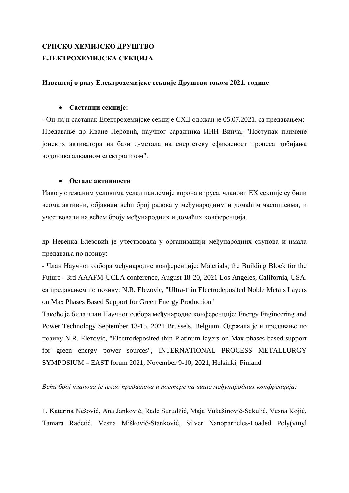# **СРПСКО ХЕМИЈСКО ДРУШТВО ЕЛЕКТРОХЕМИЈСКА СЕКЦИЈА**

#### **Извештај о раду Електрохемијске секције Друштва током 2021. године**

## • **Састанци секције:**

- Он-лајн састанак Електрохемијске секције СХД одржан је 05.07.2021. са предавањем: Предавање др Иване Перовић, научног сарадника ИНН Винча, "Поступак примене јонских активатора на бази д-метала на енергетску ефикасност процеса добијања водоника алкалном електролизом".

## • **Остале активности**

Иако у отежаним условима услед пандемије корона вируса, чланови ЕХ секције су били веома активни, објавили већи број радова у међународним и домаћим часописима, и учествовали на већем броју међународних и домаћих конференција.

др Невенка Елезовић је учествовала у организацији међународних скупова и имала предавања по позиву:

- Члан Научног одбора међународне конференције: Materials, the Building Block for the Future - 3rd AAAFM-UCLA conference, August 18-20, 2021 Los Angeles, California, USA. са предавањем по позиву: N.R. Elezovic, "Ultra-thin Electrodeposited Noble Metals Layers on Max Phases Based Support for Green Energy Production"

Такође је била члан Научног одбора међународне конференције: Energy Engineering and Power Technology September 13-15, 2021 Brussels, Belgium. Одржала је и предавање по позиву N.R. Elezovic, "Electrodeposited thin Platinum layers on Max phases based support for green energy power sources", INTERNATIONAL PROCESS METALLURGY SYMPOSIUM – EAST forum 2021, November 9-10, 2021, Helsinki, Finland.

#### *Већи број чланова је имао предавања и постере на више међународних конфренција:*

1. Katarina Nešović, Ana Janković, Rade Surudžić, Maja Vukašinović-Sekulić, Vesna Kojić, Tamara Radetić, Vesna Mišković-Stanković, Silver Nanoparticles-Loaded Poly(vinyl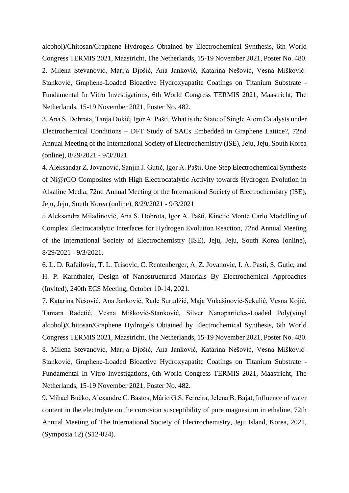alcohol)/Chitosan/Graphene Hydrogels Obtained by Electrochemical Synthesis, 6th World Congress TERMIS 2021, Maastricht, The Netherlands, 15-19 November 2021, Poster No. 480. 2. Milena Stevanović, Marija Djošić, Ana Janković, Katarina Nešović, Vesna Mišković-Stanković, Graphene-Loaded Bioactive Hydroxyapatite Coatings on Titanium Substrate - Fundamental In Vitro Investigations, 6th World Congress TERMIS 2021, Maastricht, The Netherlands, 15-19 November 2021, Poster No. 482.

3. Ana S. Dobrota, Tanja Đokić, Igor A. Pašti, What is the State of Single Atom Catalysts under Electrochemical Conditions – DFT Study of SACs Embedded in Graphene Lattice?, 72nd Annual Meeting of the International Society of Electrochemistry (ISE), Jeju, Jeju, South Korea (online), 8/29/2021 - 9/3/2021

4. Aleksandar Z. Jovanović, Sanjin J. Gutić, Igor A. Pašti, One-Step Electrochemical Synthesis of Ni@rGO Composites with High Electrocatalytic Activity towards Hydrogen Evolution in Alkaline Media, 72nd Annual Meeting of the International Society of Electrochemistry (ISE), Jeju, Jeju, South Korea (online), 8/29/2021 - 9/3/2021

5 Aleksandra Miladinović, Ana S. Dobrota, Igor A. Pašti, Kinetic Monte Carlo Modelling of Complex Electrocatalytic Interfaces for Hydrogen Evolution Reaction, 72nd Annual Meeting of the International Society of Electrochemistry (ISE), Jeju, Jeju, South Korea (online), 8/29/2021 - 9/3/2021.

6. L. D. Rafailovic, T. L. Trisovic, C. Rentenberger, A. Z. Jovanovic, I. A. Pasti, S. Gutic, and H. P. Karnthaler, Design of Nanostructured Materials By Electrochemical Approaches (Invited), 240th ECS Meeting, October 10-14, 2021.

7. Katarina Nešović, Ana Janković, Rade Surudžić, Maja Vukašinović-Sekulić, Vesna Kojić, Tamara Radetić, Vesna Mišković-Stanković, Silver Nanoparticles-Loaded Poly(vinyl alcohol)/Chitosan/Graphene Hydrogels Obtained by Electrochemical Synthesis, 6th World Congress TERMIS 2021, Maastricht, The Netherlands, 15-19 November 2021, Poster No. 480. 8. Milena Stevanović, Marija Djošić, Ana Janković, Katarina Nešović, Vesna Mišković-Stanković, Graphene-Loaded Bioactive Hydroxyapatite Coatings on Titanium Substrate - Fundamental In Vitro Investigations, 6th World Congress TERMIS 2021, Maastricht, The Netherlands, 15-19 November 2021, Poster No. 482.

9. Mihael Bučko, Alexandre C. Bastos, Mário G.S. Ferreira, Jelena B. Bajat, Influence of water content in the electrolyte on the corrosion susceptibility of pure magnesium in ethaline, 72th Annual Meeting of The International Society of Electrochemistry, Jeju Island, Korea, 2021, (Symposia 12) (S12-024).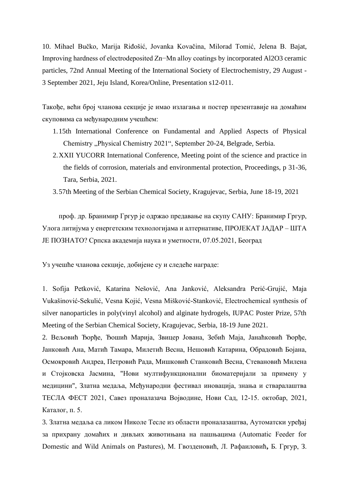10. Mihael Bučko, Marija Riđošić, Jovanka Kovačina, Milorad Tomić, Jelena B. Bajat, Improving hardness of electrodeposited Zn−Mn alloy coatings by incorporated Al2O3 ceramic particles, 72nd Annual Meeting of the International Society of Electrochemistry, 29 August - 3 September 2021, Jeju Island, Korea/Online, Presentation s12-011.

Такође, већи број чланова секције је имао излагања и постер презентавије на домаћим скуповима са међународним учешћем:

- 1.15th International Conference on Fundamental and Applied Aspects of Physical Chemistry "Physical Chemistry 2021", September 20-24, Belgrade, Serbia.
- 2.XXII YUCORR International Conference, Meeting point of the science and practice in the fields of corrosion, materials and environmental protection, Proceedings, p 31-36, Tara, Serbia, 2021.
- 3.57th Meeting of the Serbian Chemical Society, Kragujevac, Serbia, June 18-19, 2021

проф. др. Бранимир Гргур је одржао предавање на скупу САНУ: Бранимир Гргур, Улога литијума у енергетским технологијама и алтернативе, ПРОЈЕКАТ ЈАДАР – ШТА ЈЕ ПОЗНАТО? Српска академија наука и уметности, 07.05.2021, Београд

Уз учешће чланова секције, добијене су и следеће награде:

1. Sofija Petković, Katarina Nešović, Ana Janković, Aleksandra Perić-Grujić, Maja Vukašinović-Sekulić, Vesna Kojić, Vesna Mišković-Stanković, Electrochemical synthesis of silver nanoparticles in poly(vinyl alcohol) and alginate hydrogels, IUPAC Poster Prize, 57th Meeting of the Serbian Chemical Society, Kragujevac, Serbia, 18-19 June 2021.

2. Вељовић Ђорђе, Ђошић Марија, Звицер Јована, Зебић Маја, Јанаћковић Ђорђе, Јанковић Ана, Матић Тамара, Милетић Весна, Нешовић Катарина, Обрадовић Бојана, Осмокровић Андреа, Петровић Рада, Мишковић Станковић Весна, Стевановић Милена и Стојковска Јасмина, "Нови мултифункционални биоматеријали за примену у медицини", Златна медаља, Међународни фестивал иновација, знања и стваралаштва ТЕСЛА ФЕСТ 2021, Савез проналазача Војводине, Нови Сад, 12-15. октобар, 2021, Каталог, п. 5.

3. Златна медаља са ликом Николе Тесле из области проналазаштва, Аутоматски уређај за прихрану домаћих и дивљих животињана на пашњацима (Automatic Feeder for Domestic and Wild Animals on Pastures), М. Гвозденовић, Л. Рафаиловић**,** Б. Гргур, З.